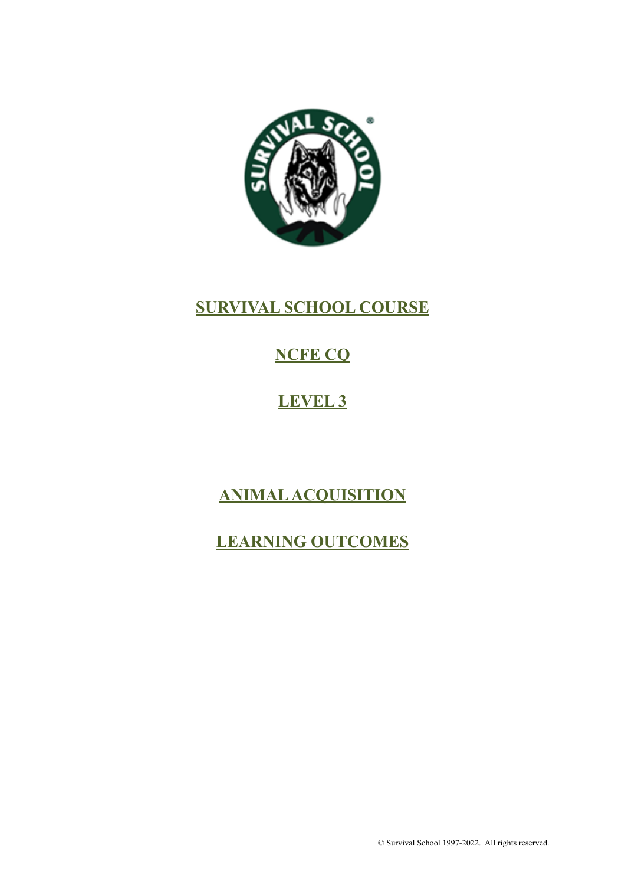

## **SURVIVAL SCHOOL COURSE**

# **NCFE CQ**

# **LEVEL 3**

# **ANIMAL ACQUISITION**

## **LEARNING OUTCOMES**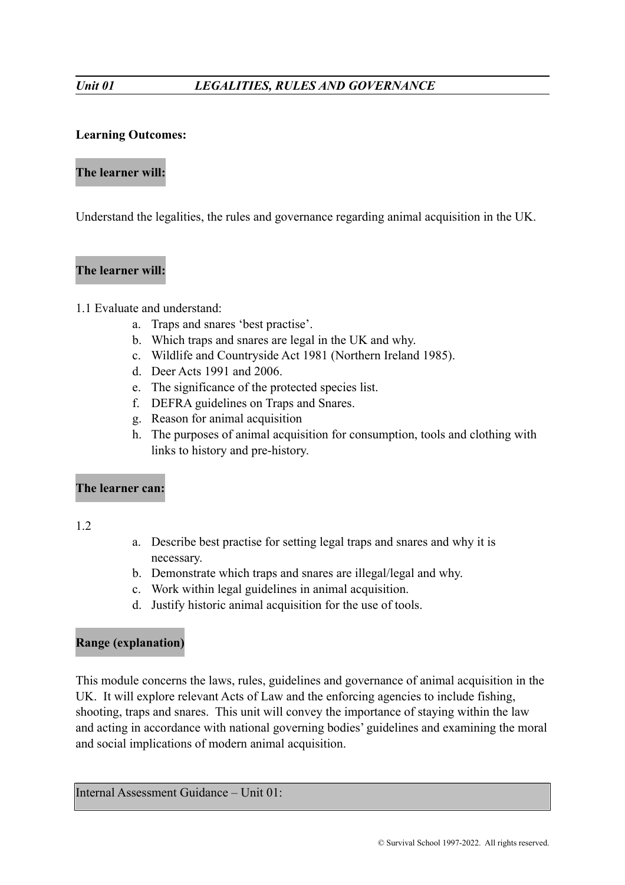#### **Learning Outcomes:**

#### **The learner will:**

Understand the legalities, the rules and governance regarding animal acquisition in the UK.

### **The learner will:**

#### 1.1 Evaluate and understand:

- a. Traps and snares 'best practise'.
- b. Which traps and snares are legal in the UK and why.
- c. Wildlife and Countryside Act 1981 (Northern Ireland 1985).
- d. Deer Acts 1991 and 2006.
- e. The significance of the protected species list.
- f. DEFRA guidelines on Traps and Snares.
- g. Reason for animal acquisition
- h. The purposes of animal acquisition for consumption, tools and clothing with links to history and pre-history.

#### **The learner can:**

1.2

- a. Describe best practise for setting legal traps and snares and why it is necessary.
- b. Demonstrate which traps and snares are illegal/legal and why.
- c. Work within legal guidelines in animal acquisition.
- d. Justify historic animal acquisition for the use of tools.

### **Range (explanation)**

This module concerns the laws, rules, guidelines and governance of animal acquisition in the UK. It will explore relevant Acts of Law and the enforcing agencies to include fishing, shooting, traps and snares. This unit will convey the importance of staying within the law and acting in accordance with national governing bodies' guidelines and examining the moral and social implications of modern animal acquisition.

Internal Assessment Guidance – Unit 01: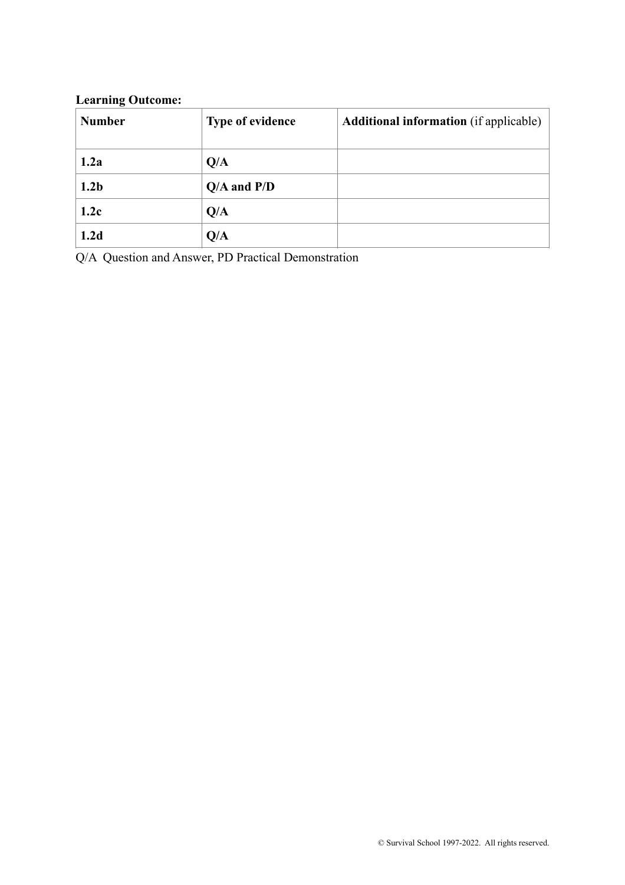## **Learning Outcome:**

| <b>Number</b>    | <b>Type of evidence</b> | <b>Additional information</b> (if applicable) |
|------------------|-------------------------|-----------------------------------------------|
| 1.2a             | Q/A                     |                                               |
| 1.2 <sub>b</sub> | $Q/A$ and $P/D$         |                                               |
| 1.2c             | Q/A                     |                                               |
| 1.2d             | Q/A                     |                                               |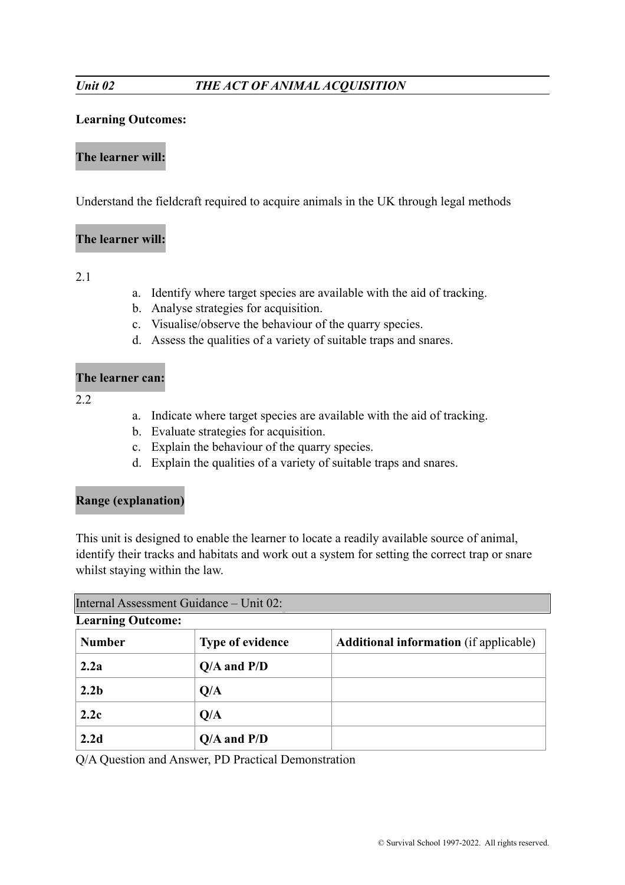#### **Learning Outcomes:**

#### **The learner will:**

Understand the fieldcraft required to acquire animals in the UK through legal methods

#### **The learner will:**

2.1

- a. Identify where target species are available with the aid of tracking.
- b. Analyse strategies for acquisition.
- c. Visualise/observe the behaviour of the quarry species.
- d. Assess the qualities of a variety of suitable traps and snares.

#### **The learner can:**

2.2

- a. Indicate where target species are available with the aid of tracking.
- b. Evaluate strategies for acquisition.
- c. Explain the behaviour of the quarry species.
- d. Explain the qualities of a variety of suitable traps and snares.

### **Range (explanation)**

This unit is designed to enable the learner to locate a readily available source of animal, identify their tracks and habitats and work out a system for setting the correct trap or snare whilst staying within the law.

| Internal Assessment Guidance - Unit 02: |                         |                                               |  |  |
|-----------------------------------------|-------------------------|-----------------------------------------------|--|--|
| <b>Learning Outcome:</b>                |                         |                                               |  |  |
| <b>Number</b>                           | <b>Type of evidence</b> | <b>Additional information</b> (if applicable) |  |  |
| 2.2a                                    | $Q/A$ and $P/D$         |                                               |  |  |
| 2.2 <sub>b</sub>                        | Q/A                     |                                               |  |  |
| 2.2c                                    | O/A                     |                                               |  |  |
| 2.2d                                    | $Q/A$ and $P/D$         |                                               |  |  |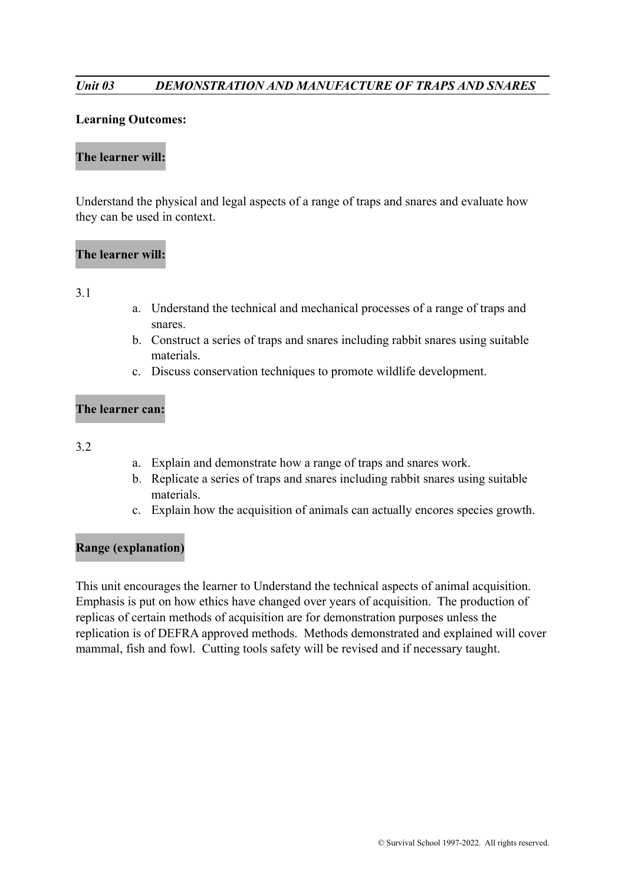#### *Unit 03 DEMONSTRATION AND MANUFACTURE OF TRAPS AND SNARES*

#### **Learning Outcomes:**

#### **The learner will:**

Understand the physical and legal aspects of a range of traps and snares and evaluate how they can be used in context.

#### **The learner will:**

#### 3.1

- a. Understand the technical and mechanical processes of a range of traps and snares.
- b. Construct a series of traps and snares including rabbit snares using suitable materials.
- c. Discuss conservation techniques to promote wildlife development.

#### **The learner can:**

#### 3.2

- a. Explain and demonstrate how a range of traps and snares work.
- b. Replicate a series of traps and snares including rabbit snares using suitable materials.
- c. Explain how the acquisition of animals can actually encores species growth.

#### **Range (explanation)**

This unit encourages the learner to Understand the technical aspects of animal acquisition. Emphasis is put on how ethics have changed over years of acquisition. The production of replicas of certain methods of acquisition are for demonstration purposes unless the replication is of DEFRA approved methods. Methods demonstrated and explained will cover mammal, fish and fowl. Cutting tools safety will be revised and if necessary taught.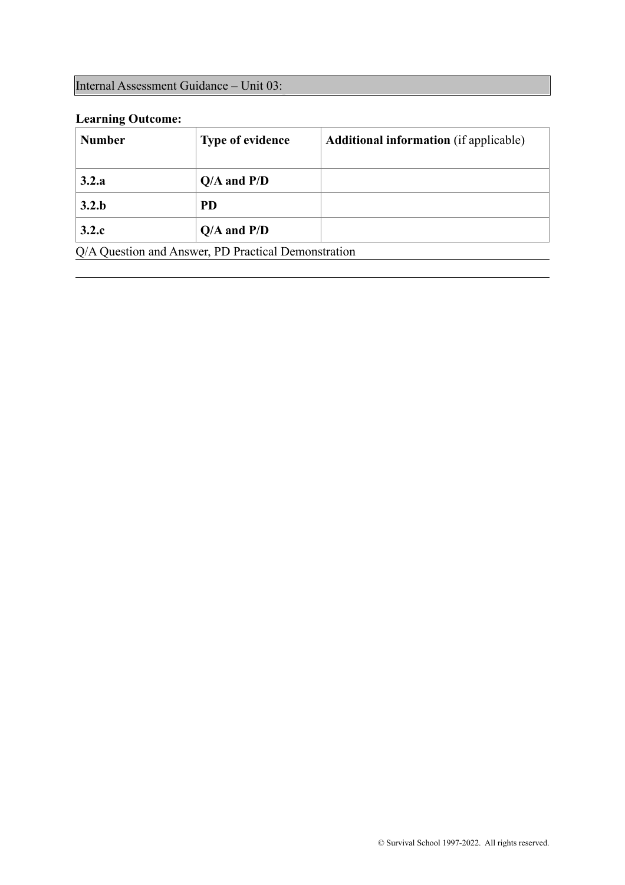## Internal Assessment Guidance – Unit 03:

## **Learning Outcome:**

| <b>Number</b>                                       | <b>Type of evidence</b> | <b>Additional information</b> (if applicable) |
|-----------------------------------------------------|-------------------------|-----------------------------------------------|
| 3.2.a                                               | $Q/A$ and $P/D$         |                                               |
| 3.2.b                                               | <b>PD</b>               |                                               |
| 3.2.c                                               | $Q/A$ and $P/D$         |                                               |
| Q/A Question and Answer, PD Practical Demonstration |                         |                                               |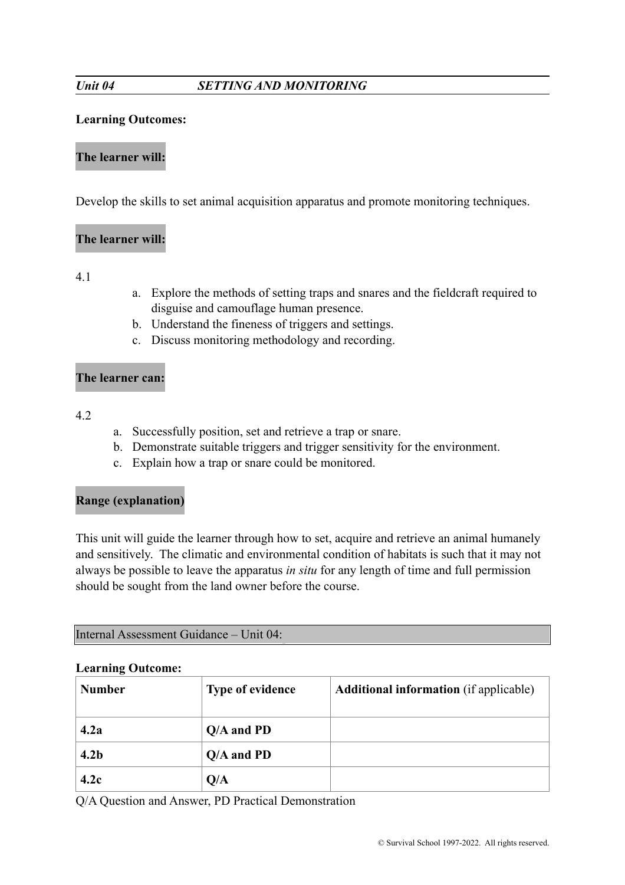### *Unit 04 SETTING AND MONITORING*

#### **Learning Outcomes:**

#### **The learner will:**

Develop the skills to set animal acquisition apparatus and promote monitoring techniques.

#### **The learner will:**

4.1

- a. Explore the methods of setting traps and snares and the fieldcraft required to disguise and camouflage human presence.
- b. Understand the fineness of triggers and settings.
- c. Discuss monitoring methodology and recording.

#### **The learner can:**

4.2

- a. Successfully position, set and retrieve a trap or snare.
- b. Demonstrate suitable triggers and trigger sensitivity for the environment.
- c. Explain how a trap or snare could be monitored.

### **Range (explanation)**

This unit will guide the learner through how to set, acquire and retrieve an animal humanely and sensitively. The climatic and environmental condition of habitats is such that it may not always be possible to leave the apparatus *in situ* for any length of time and full permission should be sought from the land owner before the course.

Internal Assessment Guidance – Unit 04:

#### **Learning Outcome:**

| <b>Number</b>    | <b>Type of evidence</b> | <b>Additional information</b> (if applicable) |
|------------------|-------------------------|-----------------------------------------------|
| 4.2a             | $Q/A$ and PD            |                                               |
| 4.2 <sub>b</sub> | $Q/A$ and PD            |                                               |
| 4.2c             | Q/A                     |                                               |